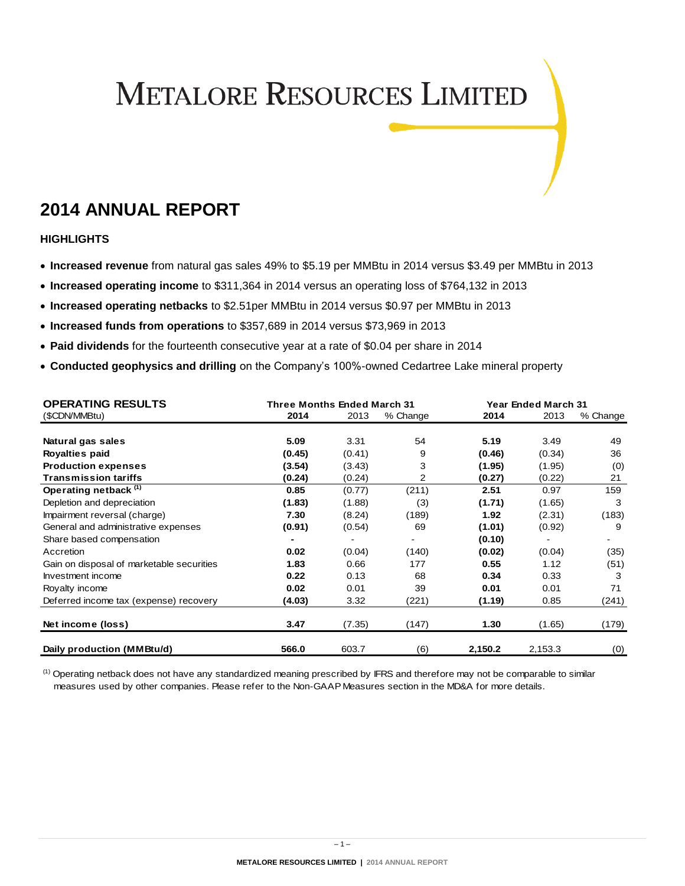# **METALORE RESOURCES LIMITED**

# **2014 ANNUAL REPORT**

# **HIGHLIGHTS**

- **Increased revenue** from natural gas sales 49% to \$5.19 per MMBtu in 2014 versus \$3.49 per MMBtu in 2013
- **Increased operating income** to \$311,364 in 2014 versus an operating loss of \$764,132 in 2013
- **Increased operating netbacks** to \$2.51per MMBtu in 2014 versus \$0.97 per MMBtu in 2013
- **Increased funds from operations** to \$357,689 in 2014 versus \$73,969 in 2013
- **Paid dividends** for the fourteenth consecutive year at a rate of \$0.04 per share in 2014
- **Conducted geophysics and drilling** on the Company's 100%-owned Cedartree Lake mineral property

| <b>OPERATING RESULTS</b>                  | Three Months Ended March 31 |        |          | Year Ended March 31 |         |          |
|-------------------------------------------|-----------------------------|--------|----------|---------------------|---------|----------|
| (\$CDN/MMBtu)                             | 2014                        | 2013   | % Change | 2014                | 2013    | % Change |
|                                           |                             |        |          |                     |         |          |
| Natural gas sales                         | 5.09                        | 3.31   | 54       | 5.19                | 3.49    | 49       |
| <b>Royalties paid</b>                     | (0.45)                      | (0.41) | 9        | (0.46)              | (0.34)  | 36       |
| <b>Production expenses</b>                | (3.54)                      | (3.43) | 3        | (1.95)              | (1.95)  | (0)      |
| Transmission tariffs                      | (0.24)                      | (0.24) | 2        | (0.27)              | (0.22)  | 21       |
| Operating netback (1)                     | 0.85                        | (0.77) | (211)    | 2.51                | 0.97    | 159      |
| Depletion and depreciation                | (1.83)                      | (1.88) | (3)      | (1.71)              | (1.65)  | 3        |
| Impairment reversal (charge)              | 7.30                        | (8.24) | (189)    | 1.92                | (2.31)  | (183)    |
| General and administrative expenses       | (0.91)                      | (0.54) | 69       | (1.01)              | (0.92)  | 9        |
| Share based compensation                  |                             |        |          | (0.10)              |         |          |
| Accretion                                 | 0.02                        | (0.04) | (140)    | (0.02)              | (0.04)  | (35)     |
| Gain on disposal of marketable securities | 1.83                        | 0.66   | 177      | 0.55                | 1.12    | (51)     |
| Investment income                         | 0.22                        | 0.13   | 68       | 0.34                | 0.33    | 3        |
| Royalty income                            | 0.02                        | 0.01   | 39       | 0.01                | 0.01    | 71       |
| Deferred income tax (expense) recovery    | (4.03)                      | 3.32   | (221)    | (1.19)              | 0.85    | (241)    |
| Net income (loss)                         | 3.47                        | (7.35) | (147)    | 1.30                | (1.65)  | (179)    |
| Daily production (MMBtu/d)                | 566.0                       | 603.7  | (6)      | 2,150.2             | 2,153.3 | (0)      |

 $<sup>(1)</sup>$  Operating netback does not have any standardized meaning prescribed by IFRS and therefore may not be comparable to similar</sup> measures used by other companies. Please refer to the Non-GAAP Measures section in the MD&A for more details.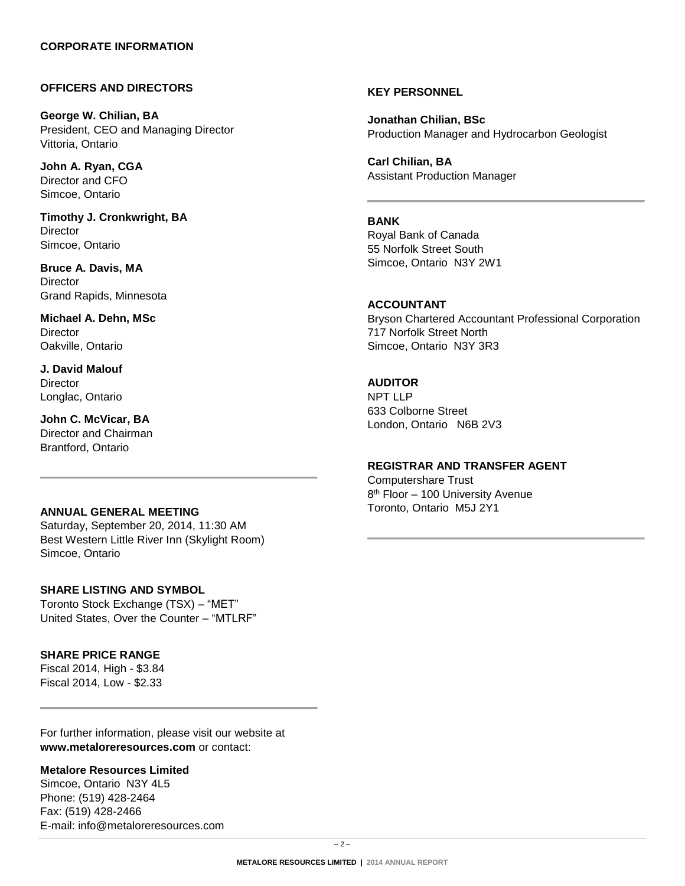#### **CORPORATE INFORMATION**

#### **OFFICERS AND DIRECTORS**

**George W. Chilian, BA** President, CEO and Managing Director Vittoria, Ontario

**John A. Ryan, CGA** Director and CFO Simcoe, Ontario

**Timothy J. Cronkwright, BA Director** Simcoe, Ontario

**Bruce A. Davis, MA Director** Grand Rapids, Minnesota

**Michael A. Dehn, MSc Director** Oakville, Ontario

**J. David Malouf Director** Longlac, Ontario

**John C. McVicar, BA** Director and Chairman Brantford, Ontario

# **ANNUAL GENERAL MEETING**

Saturday, September 20, 2014, 11:30 AM Best Western Little River Inn (Skylight Room) Simcoe, Ontario

# **SHARE LISTING AND SYMBOL**

Toronto Stock Exchange (TSX) – "MET" United States, Over the Counter – "MTLRF"

# **SHARE PRICE RANGE**

Fiscal 2014, High - \$3.84 Fiscal 2014, Low - \$2.33

For further information, please visit our website at **www.metaloreresources.com** or contact:

# **Metalore Resources Limited**

Simcoe, Ontario N3Y 4L5 Phone: (519) 428-2464 Fax: (519) 428-2466 E-mail: info@metaloreresources.com

### **KEY PERSONNEL**

**Jonathan Chilian, BSc** Production Manager and Hydrocarbon Geologist

**Carl Chilian, BA** Assistant Production Manager

#### **BANK**

Royal Bank of Canada 55 Norfolk Street South Simcoe, Ontario N3Y 2W1

#### **ACCOUNTANT**

Bryson Chartered Accountant Professional Corporation 717 Norfolk Street North Simcoe, Ontario N3Y 3R3

# **AUDITOR**

NPT LLP 633 Colborne Street London, Ontario N6B 2V3

#### **REGISTRAR AND TRANSFER AGENT**

Computershare Trust 8<sup>th</sup> Floor – 100 University Avenue Toronto, Ontario M5J 2Y1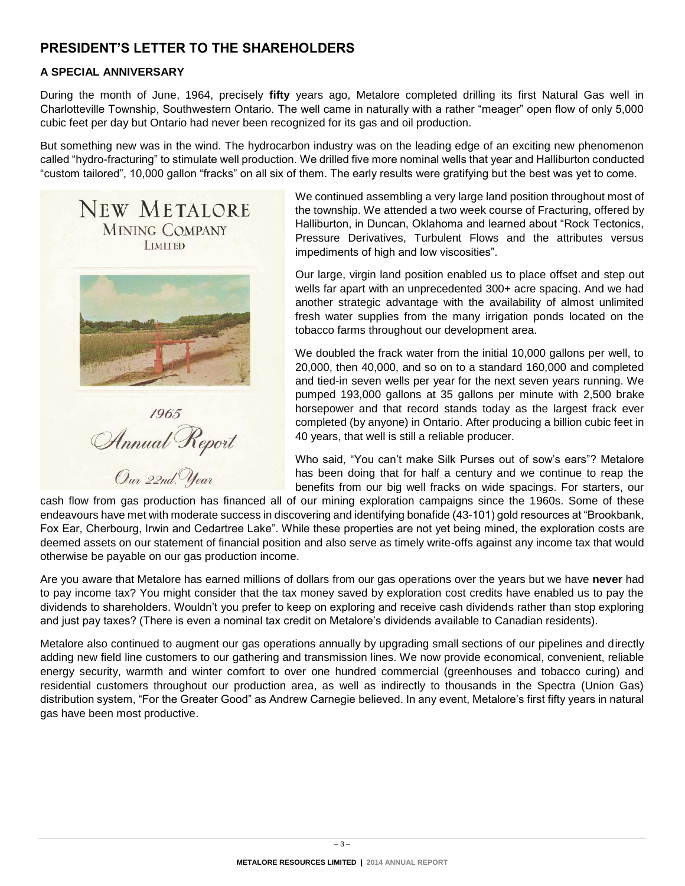# **PRESIDENT'S LETTER TO THE SHAREHOLDERS**

# **A SPECIAL ANNIVERSARY**

During the month of June, 1964, precisely **fifty** years ago, Metalore completed drilling its first Natural Gas well in Charlotteville Township, Southwestern Ontario. The well came in naturally with a rather "meager" open flow of only 5,000 cubic feet per day but Ontario had never been recognized for its gas and oil production.

But something new was in the wind. The hydrocarbon industry was on the leading edge of an exciting new phenomenon called "hydro-fracturing" to stimulate well production. We drilled five more nominal wells that year and Halliburton conducted "custom tailored", 10,000 gallon "fracks" on all six of them. The early results were gratifying but the best was yet to come.



1965 Annual Report

Our 22nd. Year

We continued assembling a very large land position throughout most of the township. We attended a two week course of Fracturing, offered by Halliburton, in Duncan, Oklahoma and learned about "Rock Tectonics, Pressure Derivatives, Turbulent Flows and the attributes versus impediments of high and low viscosities".

Our large, virgin land position enabled us to place offset and step out wells far apart with an unprecedented 300+ acre spacing. And we had another strategic advantage with the availability of almost unlimited fresh water supplies from the many irrigation ponds located on the tobacco farms throughout our development area.

We doubled the frack water from the initial 10,000 gallons per well, to 20,000, then 40,000, and so on to a standard 160,000 and completed and tied-in seven wells per year for the next seven years running. We pumped 193,000 gallons at 35 gallons per minute with 2,500 brake horsepower and that record stands today as the largest frack ever completed (by anyone) in Ontario. After producing a billion cubic feet in 40 years, that well is still a reliable producer.

Who said, "You can't make Silk Purses out of sow's ears"? Metalore has been doing that for half a century and we continue to reap the benefits from our big well fracks on wide spacings. For starters, our

cash flow from gas production has financed all of our mining exploration campaigns since the 1960s. Some of these endeavours have met with moderate success in discovering and identifying bonafide (43-101) gold resources at "Brookbank, Fox Ear, Cherbourg, Irwin and Cedartree Lake". While these properties are not yet being mined, the exploration costs are deemed assets on our statement of financial position and also serve as timely write-offs against any income tax that would otherwise be payable on our gas production income.

Are you aware that Metalore has earned millions of dollars from our gas operations over the years but we have **never** had to pay income tax? You might consider that the tax money saved by exploration cost credits have enabled us to pay the dividends to shareholders. Wouldn't you prefer to keep on exploring and receive cash dividends rather than stop exploring and just pay taxes? (There is even a nominal tax credit on Metalore's dividends available to Canadian residents).

Metalore also continued to augment our gas operations annually by upgrading small sections of our pipelines and directly adding new field line customers to our gathering and transmission lines. We now provide economical, convenient, reliable energy security, warmth and winter comfort to over one hundred commercial (greenhouses and tobacco curing) and residential customers throughout our production area, as well as indirectly to thousands in the Spectra (Union Gas) distribution system, "For the Greater Good" as Andrew Carnegie believed. In any event, Metalore's first fifty years in natural gas have been most productive.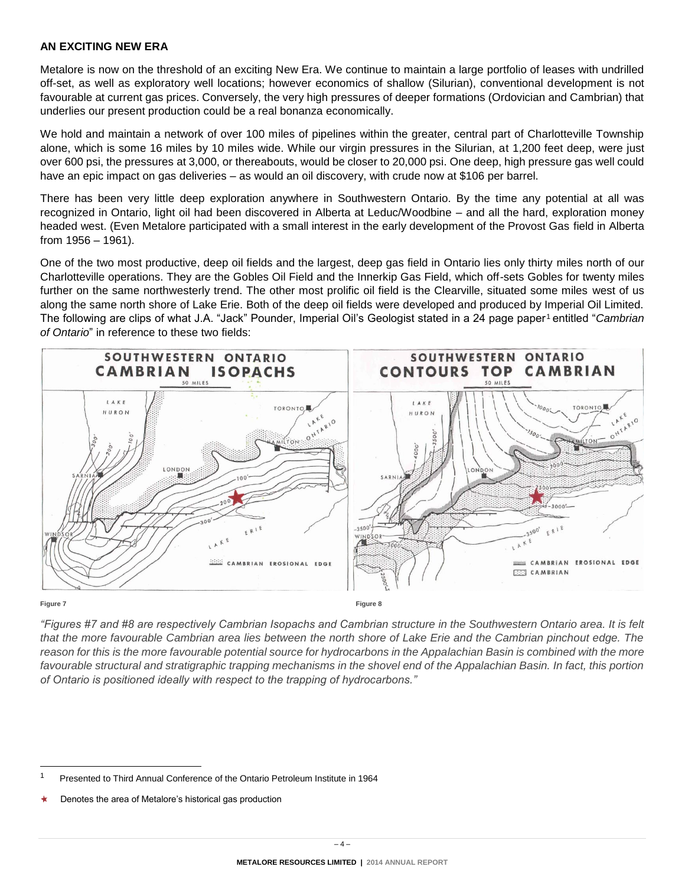#### **AN EXCITING NEW ERA**

Metalore is now on the threshold of an exciting New Era. We continue to maintain a large portfolio of leases with undrilled off-set, as well as exploratory well locations; however economics of shallow (Silurian), conventional development is not favourable at current gas prices. Conversely, the very high pressures of deeper formations (Ordovician and Cambrian) that underlies our present production could be a real bonanza economically.

We hold and maintain a network of over 100 miles of pipelines within the greater, central part of Charlotteville Township alone, which is some 16 miles by 10 miles wide. While our virgin pressures in the Silurian, at 1,200 feet deep, were just over 600 psi, the pressures at 3,000, or thereabouts, would be closer to 20,000 psi. One deep, high pressure gas well could have an epic impact on gas deliveries – as would an oil discovery, with crude now at \$106 per barrel.

There has been very little deep exploration anywhere in Southwestern Ontario. By the time any potential at all was recognized in Ontario, light oil had been discovered in Alberta at Leduc/Woodbine – and all the hard, exploration money headed west. (Even Metalore participated with a small interest in the early development of the Provost Gas field in Alberta from 1956 – 1961).

One of the two most productive, deep oil fields and the largest, deep gas field in Ontario lies only thirty miles north of our Charlotteville operations. They are the Gobles Oil Field and the Innerkip Gas Field, which off-sets Gobles for twenty miles further on the same northwesterly trend. The other most prolific oil field is the Clearville, situated some miles west of us along the same north shore of Lake Erie. Both of the deep oil fields were developed and produced by Imperial Oil Limited. The following are clips of what J.A. "Jack" Pounder, Imperial Oil's Geologist stated in a 24 page paper<sup>1</sup> entitled "*Cambrian of Ontario*" in reference to these two fields:



l

**Figure 7 Figure 8**

*"Figures #7 and #8 are respectively Cambrian Isopachs and Cambrian structure in the Southwestern Ontario area. It is felt that the more favourable Cambrian area lies between the north shore of Lake Erie and the Cambrian pinchout edge. The*  reason for this is the more favourable potential source for hydrocarbons in the Appalachian Basin is combined with the more *favourable structural and stratigraphic trapping mechanisms in the shovel end of the Appalachian Basin. In fact, this portion of Ontario is positioned ideally with respect to the trapping of hydrocarbons."*

<sup>1</sup> Presented to Third Annual Conference of the Ontario Petroleum Institute in 1964

Denotes the area of Metalore's historical gas production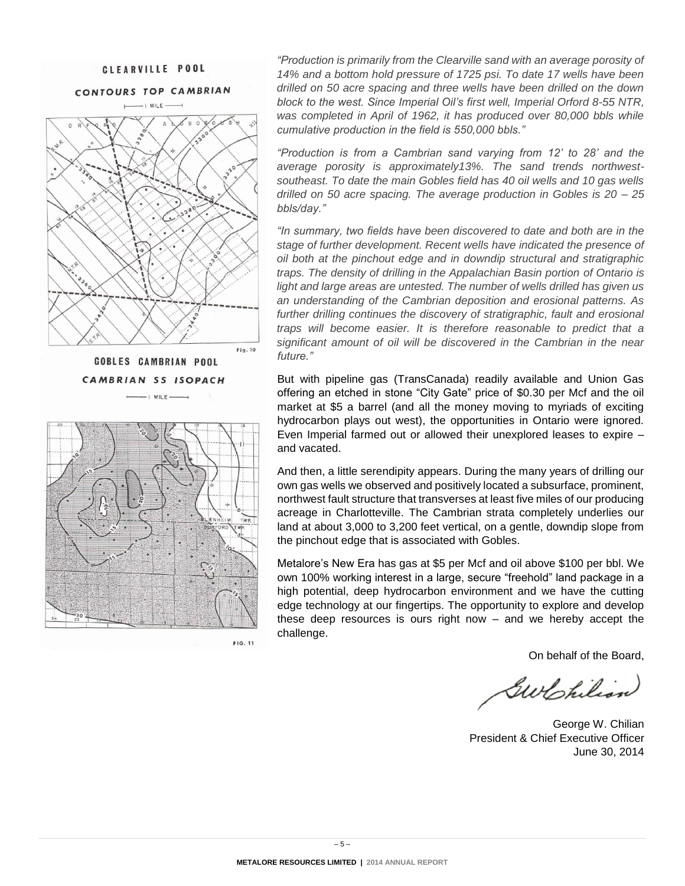#### CLEARVILLE POOL

#### CONTOURS TOP CAMBRIAN



GOBLES CAMBRIAN POOL CAMBRIAN SS ISOPACH

 $-1$  MILE  $-$ 



*"Production is primarily from the Clearville sand with an average porosity of 14% and a bottom hold pressure of 1725 psi. To date 17 wells have been drilled on 50 acre spacing and three wells have been drilled on the down block to the west. Since Imperial Oil's first well, Imperial Orford 8-55 NTR, was completed in April of 1962, it has produced over 80,000 bbls while cumulative production in the field is 550,000 bbls."* 

*"Production is from a Cambrian sand varying from 12' to 28' and the average porosity is approximately13%. The sand trends northwestsoutheast. To date the main Gobles field has 40 oil wells and 10 gas wells drilled on 50 acre spacing. The average production in Gobles is 20 – 25 bbls/day."*

*"In summary, two fields have been discovered to date and both are in the stage of further development. Recent wells have indicated the presence of oil both at the pinchout edge and in downdip structural and stratigraphic traps. The density of drilling in the Appalachian Basin portion of Ontario is*  light and large areas are untested. The number of wells drilled has given us *an understanding of the Cambrian deposition and erosional patterns. As*  further drilling continues the discovery of stratigraphic, fault and erosional *traps will become easier. It is therefore reasonable to predict that a significant amount of oil will be discovered in the Cambrian in the near future."*

But with pipeline gas (TransCanada) readily available and Union Gas offering an etched in stone "City Gate" price of \$0.30 per Mcf and the oil market at \$5 a barrel (and all the money moving to myriads of exciting hydrocarbon plays out west), the opportunities in Ontario were ignored. Even Imperial farmed out or allowed their unexplored leases to expire – and vacated.

And then, a little serendipity appears. During the many years of drilling our own gas wells we observed and positively located a subsurface, prominent, northwest fault structure that transverses at least five miles of our producing acreage in Charlotteville. The Cambrian strata completely underlies our land at about 3,000 to 3,200 feet vertical, on a gentle, downdip slope from the pinchout edge that is associated with Gobles.

Metalore's New Era has gas at \$5 per Mcf and oil above \$100 per bbl. We own 100% working interest in a large, secure "freehold" land package in a high potential, deep hydrocarbon environment and we have the cutting edge technology at our fingertips. The opportunity to explore and develop these deep resources is ours right now – and we hereby accept the challenge.

On behalf of the Board,

Gwlshilian

George W. Chilian President & Chief Executive Officer June 30, 2014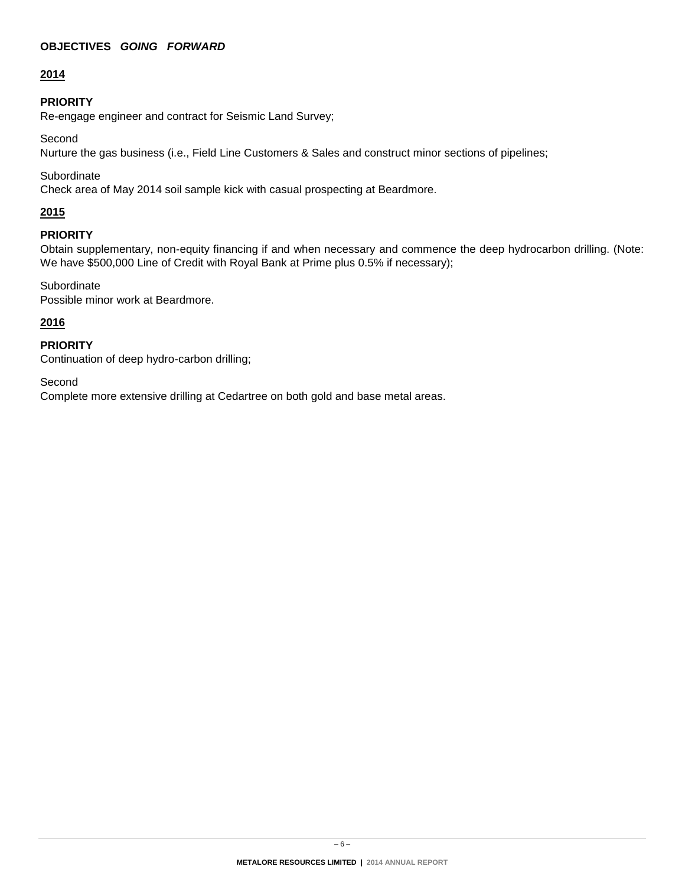# **OBJECTIVES** *GOING FORWARD*

# **2014**

# **PRIORITY**

Re-engage engineer and contract for Seismic Land Survey;

#### Second

Nurture the gas business (i.e., Field Line Customers & Sales and construct minor sections of pipelines;

# **Subordinate**

Check area of May 2014 soil sample kick with casual prospecting at Beardmore.

# **2015**

# **PRIORITY**

Obtain supplementary, non-equity financing if and when necessary and commence the deep hydrocarbon drilling. (Note: We have \$500,000 Line of Credit with Royal Bank at Prime plus 0.5% if necessary);

# Subordinate

Possible minor work at Beardmore.

# **2016**

# **PRIORITY**

Continuation of deep hydro-carbon drilling;

Second

Complete more extensive drilling at Cedartree on both gold and base metal areas.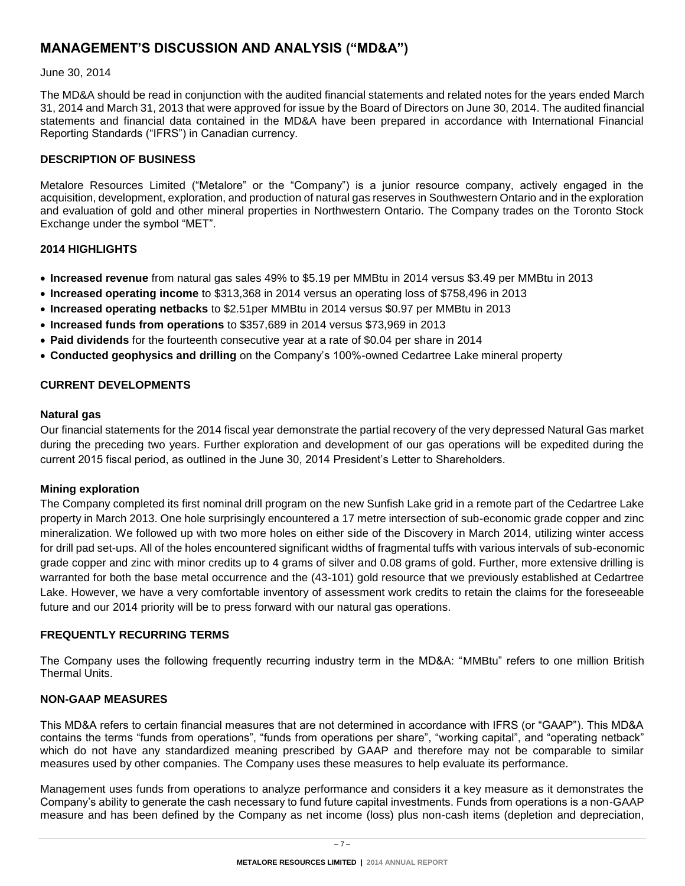# **MANAGEMENT'S DISCUSSION AND ANALYSIS ("MD&A")**

#### June 30, 2014

The MD&A should be read in conjunction with the audited financial statements and related notes for the years ended March 31, 2014 and March 31, 2013 that were approved for issue by the Board of Directors on June 30, 2014. The audited financial statements and financial data contained in the MD&A have been prepared in accordance with International Financial Reporting Standards ("IFRS") in Canadian currency.

# **DESCRIPTION OF BUSINESS**

Metalore Resources Limited ("Metalore" or the "Company") is a junior resource company, actively engaged in the acquisition, development, exploration, and production of natural gas reserves in Southwestern Ontario and in the exploration and evaluation of gold and other mineral properties in Northwestern Ontario. The Company trades on the Toronto Stock Exchange under the symbol "MET".

# **2014 HIGHLIGHTS**

- **Increased revenue** from natural gas sales 49% to \$5.19 per MMBtu in 2014 versus \$3.49 per MMBtu in 2013
- **Increased operating income** to \$313,368 in 2014 versus an operating loss of \$758,496 in 2013
- **Increased operating netbacks** to \$2.51per MMBtu in 2014 versus \$0.97 per MMBtu in 2013
- **Increased funds from operations** to \$357,689 in 2014 versus \$73,969 in 2013
- **Paid dividends** for the fourteenth consecutive year at a rate of \$0.04 per share in 2014
- **Conducted geophysics and drilling** on the Company's 100%-owned Cedartree Lake mineral property

# **CURRENT DEVELOPMENTS**

### **Natural gas**

Our financial statements for the 2014 fiscal year demonstrate the partial recovery of the very depressed Natural Gas market during the preceding two years. Further exploration and development of our gas operations will be expedited during the current 2015 fiscal period, as outlined in the June 30, 2014 President's Letter to Shareholders.

# **Mining exploration**

The Company completed its first nominal drill program on the new Sunfish Lake grid in a remote part of the Cedartree Lake property in March 2013. One hole surprisingly encountered a 17 metre intersection of sub-economic grade copper and zinc mineralization. We followed up with two more holes on either side of the Discovery in March 2014, utilizing winter access for drill pad set-ups. All of the holes encountered significant widths of fragmental tuffs with various intervals of sub-economic grade copper and zinc with minor credits up to 4 grams of silver and 0.08 grams of gold. Further, more extensive drilling is warranted for both the base metal occurrence and the (43-101) gold resource that we previously established at Cedartree Lake. However, we have a very comfortable inventory of assessment work credits to retain the claims for the foreseeable future and our 2014 priority will be to press forward with our natural gas operations.

# **FREQUENTLY RECURRING TERMS**

The Company uses the following frequently recurring industry term in the MD&A: "MMBtu" refers to one million British Thermal Units.

# **NON-GAAP MEASURES**

This MD&A refers to certain financial measures that are not determined in accordance with IFRS (or "GAAP"). This MD&A contains the terms "funds from operations", "funds from operations per share", "working capital", and "operating netback" which do not have any standardized meaning prescribed by GAAP and therefore may not be comparable to similar measures used by other companies. The Company uses these measures to help evaluate its performance.

Management uses funds from operations to analyze performance and considers it a key measure as it demonstrates the Company's ability to generate the cash necessary to fund future capital investments. Funds from operations is a non-GAAP measure and has been defined by the Company as net income (loss) plus non-cash items (depletion and depreciation,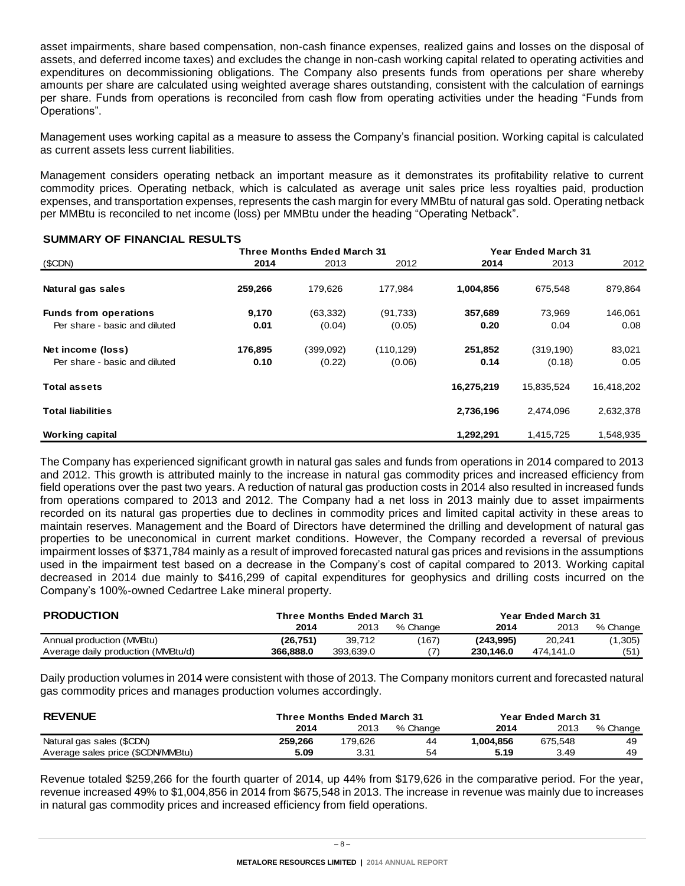asset impairments, share based compensation, non-cash finance expenses, realized gains and losses on the disposal of assets, and deferred income taxes) and excludes the change in non-cash working capital related to operating activities and expenditures on decommissioning obligations. The Company also presents funds from operations per share whereby amounts per share are calculated using weighted average shares outstanding, consistent with the calculation of earnings per share. Funds from operations is reconciled from cash flow from operating activities under the heading "Funds from Operations".

Management uses working capital as a measure to assess the Company's financial position. Working capital is calculated as current assets less current liabilities.

Management considers operating netback an important measure as it demonstrates its profitability relative to current commodity prices. Operating netback, which is calculated as average unit sales price less royalties paid, production expenses, and transportation expenses, represents the cash margin for every MMBtu of natural gas sold. Operating netback per MMBtu is reconciled to net income (loss) per MMBtu under the heading "Operating Netback".

|                               |         | <b>Three Months Ended March 31</b> |            | <b>Year Ended March 31</b> |            |            |  |
|-------------------------------|---------|------------------------------------|------------|----------------------------|------------|------------|--|
| (SCDN)                        | 2014    | 2013                               | 2012       | 2014                       | 2013       | 2012       |  |
| Natural gas sales             | 259,266 | 179.626                            | 177.984    | 1,004,856                  | 675.548    | 879,864    |  |
| <b>Funds from operations</b>  | 9,170   | (63, 332)                          | (91,733)   | 357,689                    | 73,969     | 146,061    |  |
| Per share - basic and diluted | 0.01    | (0.04)                             | (0.05)     | 0.20                       | 0.04       | 0.08       |  |
| Net income (loss)             | 176,895 | (399,092)                          | (110, 129) | 251,852                    | (319, 190) | 83,021     |  |
| Per share - basic and diluted | 0.10    | (0.22)                             | (0.06)     | 0.14                       | (0.18)     | 0.05       |  |
| Total assets                  |         |                                    |            | 16,275,219                 | 15,835,524 | 16,418,202 |  |
| <b>Total liabilities</b>      |         |                                    |            | 2,736,196                  | 2,474,096  | 2,632,378  |  |
| <b>Working capital</b>        |         |                                    |            | 1,292,291                  | 1,415,725  | 1,548,935  |  |

#### **SUMMARY OF FINANCIAL RESULTS**

The Company has experienced significant growth in natural gas sales and funds from operations in 2014 compared to 2013 and 2012. This growth is attributed mainly to the increase in natural gas commodity prices and increased efficiency from field operations over the past two years. A reduction of natural gas production costs in 2014 also resulted in increased funds from operations compared to 2013 and 2012. The Company had a net loss in 2013 mainly due to asset impairments recorded on its natural gas properties due to declines in commodity prices and limited capital activity in these areas to maintain reserves. Management and the Board of Directors have determined the drilling and development of natural gas properties to be uneconomical in current market conditions. However, the Company recorded a reversal of previous impairment losses of \$371,784 mainly as a result of improved forecasted natural gas prices and revisions in the assumptions used in the impairment test based on a decrease in the Company's cost of capital compared to 2013. Working capital decreased in 2014 due mainly to \$416,299 of capital expenditures for geophysics and drilling costs incurred on the Company's 100%-owned Cedartree Lake mineral property.

| <b>PRODUCTION</b>                  | Three Months Ended March 31 |           |          | <b>Year Ended March 31</b> |           |          |
|------------------------------------|-----------------------------|-----------|----------|----------------------------|-----------|----------|
|                                    | 2014                        | 2013      | % Change | 2014                       | 2013      | % Change |
| Annual production (MMBtu)          | (26.751)                    | 39.712    | (167)    | (243.995)                  | 20.241    | (1,305)  |
| Average daily production (MMBtu/d) | 366,888.0                   | 393.639.0 |          | 230.146.0                  | 474.141.0 | (51)     |

Daily production volumes in 2014 were consistent with those of 2013. The Company monitors current and forecasted natural gas commodity prices and manages production volumes accordingly.

| <b>REVENUE</b>                    | Three Months Ended March 31 |         |          | <b>Year Ended March 31</b> |         |          |
|-----------------------------------|-----------------------------|---------|----------|----------------------------|---------|----------|
|                                   | 2014                        | 2013    | % Change | 2014                       | 2013    | % Change |
| Natural gas sales (\$CDN)         | 259.266                     | 179.626 | 44       | 1.004.856                  | 675.548 | 49       |
| Average sales price (\$CDN/MMBtu) | 5.09                        | 3.31    | 54       | 5.19                       | 3.49    | 49       |

Revenue totaled \$259,266 for the fourth quarter of 2014, up 44% from \$179,626 in the comparative period. For the year, revenue increased 49% to \$1,004,856 in 2014 from \$675,548 in 2013. The increase in revenue was mainly due to increases in natural gas commodity prices and increased efficiency from field operations.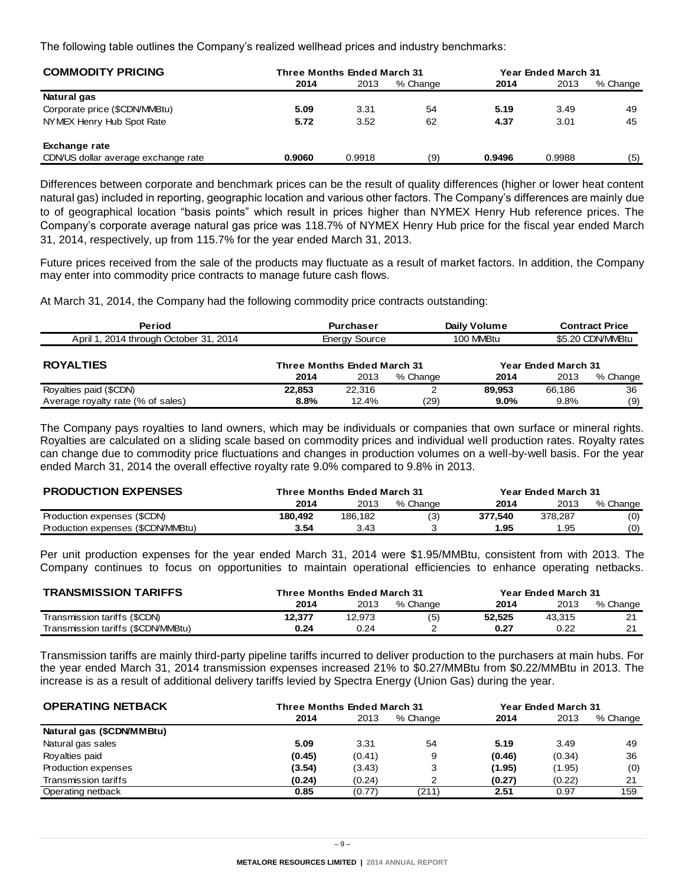The following table outlines the Company's realized wellhead prices and industry benchmarks:

| <b>COMMODITY PRICING</b>            | <b>Three Months Ended March 31</b> | Year Ended March 31 |          |        |        |          |
|-------------------------------------|------------------------------------|---------------------|----------|--------|--------|----------|
|                                     | 2014                               | 2013                | % Change | 2014   | 2013   | % Change |
| Natural gas                         |                                    |                     |          |        |        |          |
| Corporate price (\$CDN/MMBtu)       | 5.09                               | 3.31                | 54       | 5.19   | 3.49   | 49       |
| NYMEX Henry Hub Spot Rate           | 5.72                               | 3.52                | 62       | 4.37   | 3.01   | 45       |
| <b>Exchange rate</b>                |                                    |                     |          |        |        |          |
| CDN/US dollar average exchange rate | 0.9060                             | 0.9918              | (9)      | 0.9496 | 0.9988 | (5)      |

Differences between corporate and benchmark prices can be the result of quality differences (higher or lower heat content natural gas) included in reporting, geographic location and various other factors. The Company's differences are mainly due to of geographical location "basis points" which result in prices higher than NYMEX Henry Hub reference prices. The Company's corporate average natural gas price was 118.7% of NYMEX Henry Hub price for the fiscal year ended March 31, 2014, respectively, up from 115.7% for the year ended March 31, 2013.

Future prices received from the sale of the products may fluctuate as a result of market factors. In addition, the Company may enter into commodity price contracts to manage future cash flows.

At March 31, 2014, the Company had the following commodity price contracts outstanding:

| Period                                 | <b>Purchaser</b>                                    |        | Daily Volume | <b>Contract Price</b> |                  |          |
|----------------------------------------|-----------------------------------------------------|--------|--------------|-----------------------|------------------|----------|
| April 1, 2014 through October 31, 2014 | <b>Energy Source</b><br>Three Months Ended March 31 |        |              | 100 MMBtu             | \$5.20 CDN/MMBtu |          |
| <b>ROYALTIES</b>                       |                                                     |        |              | Year Ended March 31   |                  |          |
|                                        | 2014                                                | 2013   | % Change     | 2014                  | 2013             | % Change |
| Royalties paid (\$CDN)                 | 22.853                                              | 22.316 |              | 89.953                | 66.186           | 36       |
| Average royalty rate (% of sales)      | 8.8%                                                | 12.4%  | (29)         | $9.0\%$               | 9.8%             | (9)      |

The Company pays royalties to land owners, which may be individuals or companies that own surface or mineral rights. Royalties are calculated on a sliding scale based on commodity prices and individual well production rates. Royalty rates can change due to commodity price fluctuations and changes in production volumes on a well-by-well basis. For the year ended March 31, 2014 the overall effective royalty rate 9.0% compared to 9.8% in 2013.

| <b>PRODUCTION EXPENSES</b>        | Three Months Ended March 31 |         |          |         | <b>Year Ended March 31</b> |          |  |
|-----------------------------------|-----------------------------|---------|----------|---------|----------------------------|----------|--|
|                                   | 2014                        | 2013    | % Change | 2014    | 2013                       | % Change |  |
| Production expenses (\$CDN)       | 180,492                     | 186.182 | (3)      | 377.540 | 378.287                    | (0)      |  |
| Production expenses (\$CDN/MMBtu) | 3.54                        | 3.43    |          | 1.95    | 1.95                       | (0)      |  |

Per unit production expenses for the year ended March 31, 2014 were \$1.95/MMBtu, consistent from with 2013. The Company continues to focus on opportunities to maintain operational efficiencies to enhance operating netbacks.

| <b>TRANSMISSION TARIFFS</b>        | Three Months Ended March 31 |        |          | <b>Year Ended March 31</b> |        |          |
|------------------------------------|-----------------------------|--------|----------|----------------------------|--------|----------|
|                                    | 2014                        | 2013   | % Change | 2014                       | 2013   | % Change |
| Transmission tariffs (\$CDN)       | 12.377                      | 12.973 | (5       | 52.525                     | 43.315 |          |
| Transmission tariffs (\$CDN/MMBtu) | 0.24                        | 0.24   |          | 0.27                       | 0.22   | $\Omega$ |

Transmission tariffs are mainly third-party pipeline tariffs incurred to deliver production to the purchasers at main hubs. For the year ended March 31, 2014 transmission expenses increased 21% to \$0.27/MMBtu from \$0.22/MMBtu in 2013. The increase is as a result of additional delivery tariffs levied by Spectra Energy (Union Gas) during the year.

| <b>OPERATING NETBACK</b>  | Three Months Ended March 31 | Year Ended March 31 |          |        |        |          |
|---------------------------|-----------------------------|---------------------|----------|--------|--------|----------|
|                           | 2014                        | 2013                | % Change | 2014   | 2013   | % Change |
| Natural gas (\$CDN/MMBtu) |                             |                     |          |        |        |          |
| Natural gas sales         | 5.09                        | 3.31                | 54       | 5.19   | 3.49   | 49       |
| Royalties paid            | (0.45)                      | (0.41)              | 9        | (0.46) | (0.34) | 36       |
| Production expenses       | (3.54)                      | (3.43)              | 3        | (1.95) | (1.95) | (0)      |
| Transmission tariffs      | (0.24)                      | (0.24)              |          | (0.27) | (0.22) | 21       |
| Operating netback         | 0.85                        | (0.77)              | (211)    | 2.51   | 0.97   | 159      |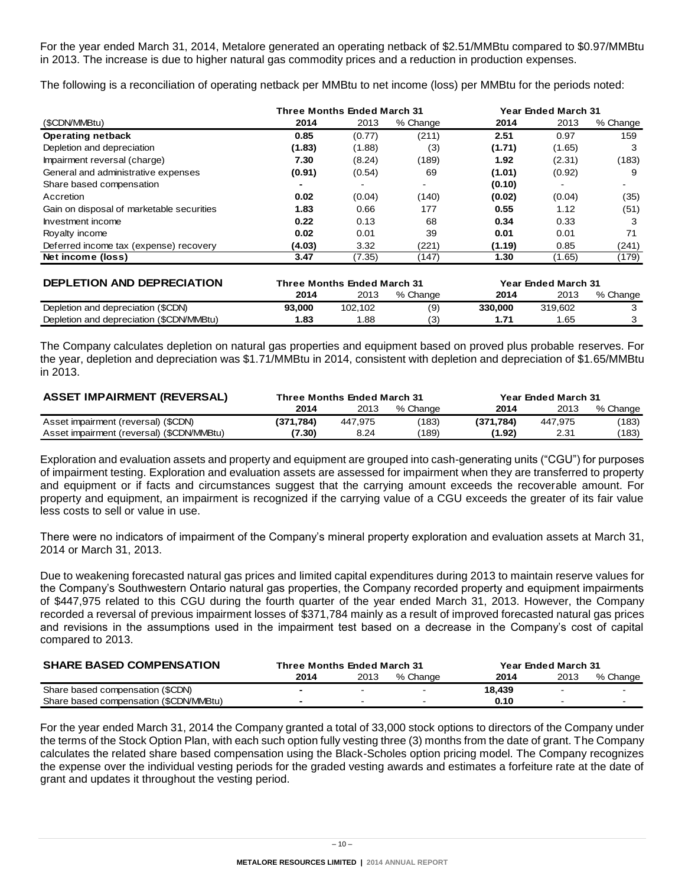For the year ended March 31, 2014, Metalore generated an operating netback of \$2.51/MMBtu compared to \$0.97/MMBtu in 2013. The increase is due to higher natural gas commodity prices and a reduction in production expenses.

The following is a reconciliation of operating netback per MMBtu to net income (loss) per MMBtu for the periods noted:

|                                           |        | <b>Three Months Ended March 31</b> |          |        | Year Ended March 31 |          |  |
|-------------------------------------------|--------|------------------------------------|----------|--------|---------------------|----------|--|
| (\$CDN/MMBtu)                             | 2014   | 2013                               | % Change | 2014   | 2013                | % Change |  |
| <b>Operating netback</b>                  | 0.85   | (0.77)                             | (211)    | 2.51   | 0.97                | 159      |  |
| Depletion and depreciation                | (1.83) | (1.88)                             | (3)      | (1.71) | (1.65)              |          |  |
| Impairment reversal (charge)              | 7.30   | (8.24)                             | (189)    | 1.92   | (2.31)              | (183)    |  |
| General and administrative expenses       | (0.91) | (0.54)                             | 69       | (1.01) | (0.92)              | 9        |  |
| Share based compensation                  | -      | -                                  | -        | (0.10) | -                   |          |  |
| Accretion                                 | 0.02   | (0.04)                             | (140)    | (0.02) | (0.04)              | (35)     |  |
| Gain on disposal of marketable securities | 1.83   | 0.66                               | 177      | 0.55   | 1.12                | (51)     |  |
| Investment income                         | 0.22   | 0.13                               | 68       | 0.34   | 0.33                |          |  |
| Royalty income                            | 0.02   | 0.01                               | 39       | 0.01   | 0.01                | 71       |  |
| Deferred income tax (expense) recovery    | (4.03) | 3.32                               | (221)    | (1.19) | 0.85                | (241)    |  |
| Net income (loss)                         | 3.47   | (7.35)                             | (147)    | 1.30   | (1.65)              | (179)    |  |

| <b>DEPLETION AND DEPRECIATION</b>        | Three Months Ended March 31 |         |          | <b>Year Ended March 31</b> |         |          |
|------------------------------------------|-----------------------------|---------|----------|----------------------------|---------|----------|
|                                          | 2014                        | 2013    | % Change | 2014                       | 2013    | % Change |
| Depletion and depreciation (\$CDN)       | 93,000                      | 102.102 | (9)      | 330,000                    | 319.602 |          |
| Depletion and depreciation (\$CDN/MMBtu) | 1.83                        | .88     | (3)      | 1.71                       | .65     |          |

The Company calculates depletion on natural gas properties and equipment based on proved plus probable reserves. For the year, depletion and depreciation was \$1.71/MMBtu in 2014, consistent with depletion and depreciation of \$1.65/MMBtu in 2013.

| <b>ASSET IMPAIRMENT (REVERSAL)</b>        | Three Months Ended March 31 |         |          | Year Ended March 31 |         |          |
|-------------------------------------------|-----------------------------|---------|----------|---------------------|---------|----------|
|                                           | 2014                        | 2013    | % Change | 2014                | 2013    | % Change |
| Asset impairment (reversal) (\$CDN)       | (371.784)                   | 447.975 | (183)    | (371.784)           | 447.975 | (183)    |
| Asset impairment (reversal) (\$CDN/MMBtu) | (7.30)                      | 8.24    | (189)    | (1.92)              | 2.31    | (183)    |

Exploration and evaluation assets and property and equipment are grouped into cash-generating units ("CGU") for purposes of impairment testing. Exploration and evaluation assets are assessed for impairment when they are transferred to property and equipment or if facts and circumstances suggest that the carrying amount exceeds the recoverable amount. For property and equipment, an impairment is recognized if the carrying value of a CGU exceeds the greater of its fair value less costs to sell or value in use.

There were no indicators of impairment of the Company's mineral property exploration and evaluation assets at March 31, 2014 or March 31, 2013.

Due to weakening forecasted natural gas prices and limited capital expenditures during 2013 to maintain reserve values for the Company's Southwestern Ontario natural gas properties, the Company recorded property and equipment impairments of \$447,975 related to this CGU during the fourth quarter of the year ended March 31, 2013. However, the Company recorded a reversal of previous impairment losses of \$371,784 mainly as a result of improved forecasted natural gas prices and revisions in the assumptions used in the impairment test based on a decrease in the Company's cost of capital compared to 2013.

| <b>SHARE BASED COMPENSATION</b>        | Three Months Ended March 31 |      |                          | <b>Year Ended March 31</b> |                          |          |
|----------------------------------------|-----------------------------|------|--------------------------|----------------------------|--------------------------|----------|
|                                        | 2014                        | 2013 | % Change                 | 2014                       | 2013                     | % Change |
| Share based compensation (\$CDN)       | $\overline{\phantom{0}}$    |      | $\overline{\phantom{a}}$ | 18.439                     | $\overline{\phantom{0}}$ |          |
| Share based compensation (\$CDN/MMBtu) | $\sim$                      |      |                          | 0.10                       | -                        |          |

For the year ended March 31, 2014 the Company granted a total of 33,000 stock options to directors of the Company under the terms of the Stock Option Plan, with each such option fully vesting three (3) months from the date of grant. The Company calculates the related share based compensation using the Black-Scholes option pricing model. The Company recognizes the expense over the individual vesting periods for the graded vesting awards and estimates a forfeiture rate at the date of grant and updates it throughout the vesting period.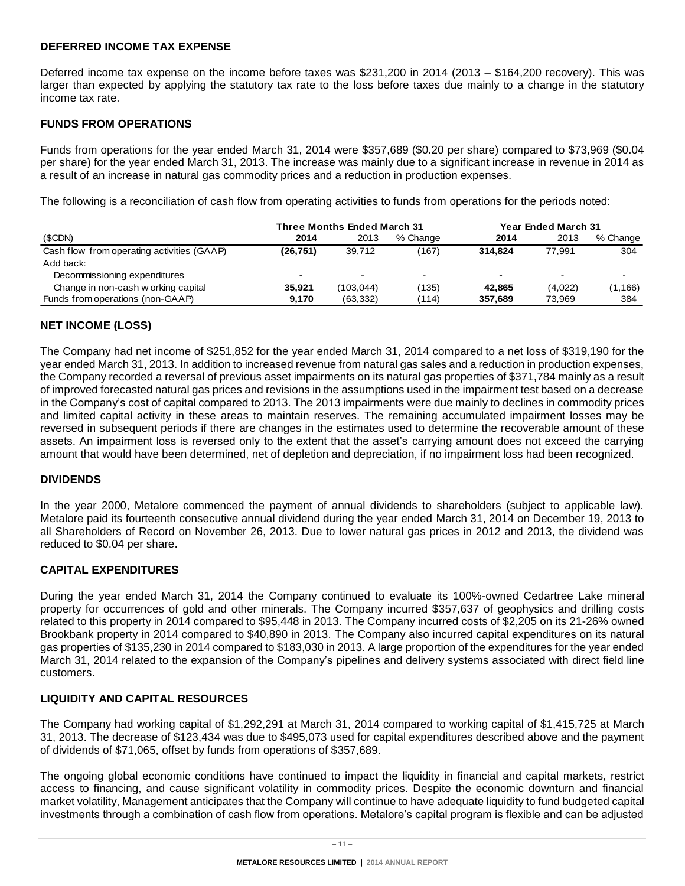#### **DEFERRED INCOME TAX EXPENSE**

Deferred income tax expense on the income before taxes was \$231,200 in 2014 (2013 – \$164,200 recovery). This was larger than expected by applying the statutory tax rate to the loss before taxes due mainly to a change in the statutory income tax rate.

# **FUNDS FROM OPERATIONS**

Funds from operations for the year ended March 31, 2014 were \$357,689 (\$0.20 per share) compared to \$73,969 (\$0.04 per share) for the year ended March 31, 2013. The increase was mainly due to a significant increase in revenue in 2014 as a result of an increase in natural gas commodity prices and a reduction in production expenses.

| The following is a reconciliation of cash flow from operating activities to funds from operations for the periods noted: |                                    |           |                          |                     |                          |          |  |
|--------------------------------------------------------------------------------------------------------------------------|------------------------------------|-----------|--------------------------|---------------------|--------------------------|----------|--|
|                                                                                                                          | <b>Three Months Ended March 31</b> |           |                          | Year Ended March 31 |                          |          |  |
| (SCDN)                                                                                                                   | 2014                               | 2013      | % Change                 | 2014                | 2013                     | % Change |  |
| Cash flow from operating activities (GAAP)                                                                               | (26, 751)                          | 39.712    | (167)                    | 314.824             | 77.991                   | 304      |  |
| Add back:                                                                                                                |                                    |           |                          |                     |                          |          |  |
| Decommissioning expenditures                                                                                             | $\blacksquare$                     |           | $\overline{\phantom{a}}$ | -                   | $\overline{\phantom{a}}$ |          |  |
| Change in non-cash w orking capital                                                                                      | 35.921                             | (103.044) | (135)                    | 42.865              | (4,022)                  | (1, 166) |  |
| Funds from operations (non-GAAP)                                                                                         | 9,170                              | (63, 332) | (114)                    | 357.689             | 73,969                   | 384      |  |

# **NET INCOME (LOSS)**

The Company had net income of \$251,852 for the year ended March 31, 2014 compared to a net loss of \$319,190 for the year ended March 31, 2013. In addition to increased revenue from natural gas sales and a reduction in production expenses, the Company recorded a reversal of previous asset impairments on its natural gas properties of \$371,784 mainly as a result of improved forecasted natural gas prices and revisions in the assumptions used in the impairment test based on a decrease in the Company's cost of capital compared to 2013. The 2013 impairments were due mainly to declines in commodity prices and limited capital activity in these areas to maintain reserves. The remaining accumulated impairment losses may be reversed in subsequent periods if there are changes in the estimates used to determine the recoverable amount of these assets. An impairment loss is reversed only to the extent that the asset's carrying amount does not exceed the carrying amount that would have been determined, net of depletion and depreciation, if no impairment loss had been recognized.

#### **DIVIDENDS**

In the year 2000, Metalore commenced the payment of annual dividends to shareholders (subject to applicable law). Metalore paid its fourteenth consecutive annual dividend during the year ended March 31, 2014 on December 19, 2013 to all Shareholders of Record on November 26, 2013. Due to lower natural gas prices in 2012 and 2013, the dividend was reduced to \$0.04 per share.

# **CAPITAL EXPENDITURES**

During the year ended March 31, 2014 the Company continued to evaluate its 100%-owned Cedartree Lake mineral property for occurrences of gold and other minerals. The Company incurred \$357,637 of geophysics and drilling costs related to this property in 2014 compared to \$95,448 in 2013. The Company incurred costs of \$2,205 on its 21-26% owned Brookbank property in 2014 compared to \$40,890 in 2013. The Company also incurred capital expenditures on its natural gas properties of \$135,230 in 2014 compared to \$183,030 in 2013. A large proportion of the expenditures for the year ended March 31, 2014 related to the expansion of the Company's pipelines and delivery systems associated with direct field line customers.

# **LIQUIDITY AND CAPITAL RESOURCES**

The Company had working capital of \$1,292,291 at March 31, 2014 compared to working capital of \$1,415,725 at March 31, 2013. The decrease of \$123,434 was due to \$495,073 used for capital expenditures described above and the payment of dividends of \$71,065, offset by funds from operations of \$357,689.

The ongoing global economic conditions have continued to impact the liquidity in financial and capital markets, restrict access to financing, and cause significant volatility in commodity prices. Despite the economic downturn and financial market volatility, Management anticipates that the Company will continue to have adequate liquidity to fund budgeted capital investments through a combination of cash flow from operations. Metalore's capital program is flexible and can be adjusted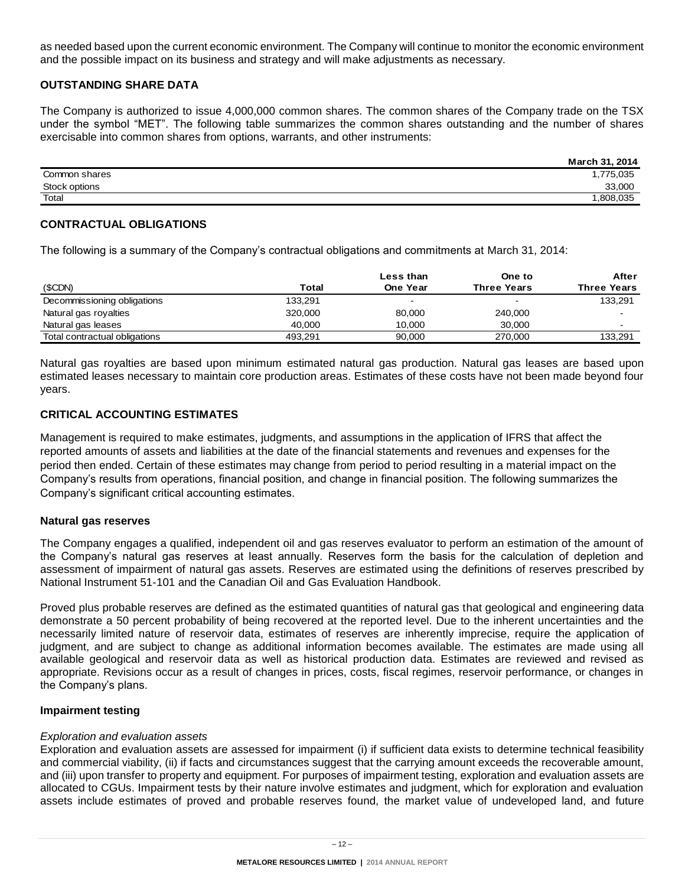as needed based upon the current economic environment. The Company will continue to monitor the economic environment and the possible impact on its business and strategy and will make adjustments as necessary.

# **OUTSTANDING SHARE DATA**

The Company is authorized to issue 4,000,000 common shares. The common shares of the Company trade on the TSX under the symbol "MET". The following table summarizes the common shares outstanding and the number of shares exercisable into common shares from options, warrants, and other instruments:

|               | March 31, 2014 |
|---------------|----------------|
| Common shares | 1,775,035      |
| Stock options | 33,000         |
| Total         | .808.035       |

# **CONTRACTUAL OBLIGATIONS**

The following is a summary of the Company's contractual obligations and commitments at March 31, 2014:

|                               |         | Less than                | One to                   | After              |
|-------------------------------|---------|--------------------------|--------------------------|--------------------|
| (\$CDN)                       | Total   | <b>One Year</b>          | <b>Three Years</b>       | <b>Three Years</b> |
| Decommissioning obligations   | 133,291 | $\overline{\phantom{a}}$ | $\overline{\phantom{a}}$ | 133,291            |
| Natural gas royalties         | 320,000 | 80,000                   | 240.000                  | $\sim$             |
| Natural gas leases            | 40.000  | 10.000                   | 30,000                   | -                  |
| Total contractual obligations | 493.291 | 90,000                   | 270,000                  | 133.291            |

Natural gas royalties are based upon minimum estimated natural gas production. Natural gas leases are based upon estimated leases necessary to maintain core production areas. Estimates of these costs have not been made beyond four years.

### **CRITICAL ACCOUNTING ESTIMATES**

Management is required to make estimates, judgments, and assumptions in the application of IFRS that affect the reported amounts of assets and liabilities at the date of the financial statements and revenues and expenses for the period then ended. Certain of these estimates may change from period to period resulting in a material impact on the Company's results from operations, financial position, and change in financial position. The following summarizes the Company's significant critical accounting estimates.

#### **Natural gas reserves**

The Company engages a qualified, independent oil and gas reserves evaluator to perform an estimation of the amount of the Company's natural gas reserves at least annually. Reserves form the basis for the calculation of depletion and assessment of impairment of natural gas assets. Reserves are estimated using the definitions of reserves prescribed by National Instrument 51-101 and the Canadian Oil and Gas Evaluation Handbook.

Proved plus probable reserves are defined as the estimated quantities of natural gas that geological and engineering data demonstrate a 50 percent probability of being recovered at the reported level. Due to the inherent uncertainties and the necessarily limited nature of reservoir data, estimates of reserves are inherently imprecise, require the application of judgment, and are subject to change as additional information becomes available. The estimates are made using all available geological and reservoir data as well as historical production data. Estimates are reviewed and revised as appropriate. Revisions occur as a result of changes in prices, costs, fiscal regimes, reservoir performance, or changes in the Company's plans.

#### **Impairment testing**

#### *Exploration and evaluation assets*

Exploration and evaluation assets are assessed for impairment (i) if sufficient data exists to determine technical feasibility and commercial viability, (ii) if facts and circumstances suggest that the carrying amount exceeds the recoverable amount, and (iii) upon transfer to property and equipment. For purposes of impairment testing, exploration and evaluation assets are allocated to CGUs. Impairment tests by their nature involve estimates and judgment, which for exploration and evaluation assets include estimates of proved and probable reserves found, the market value of undeveloped land, and future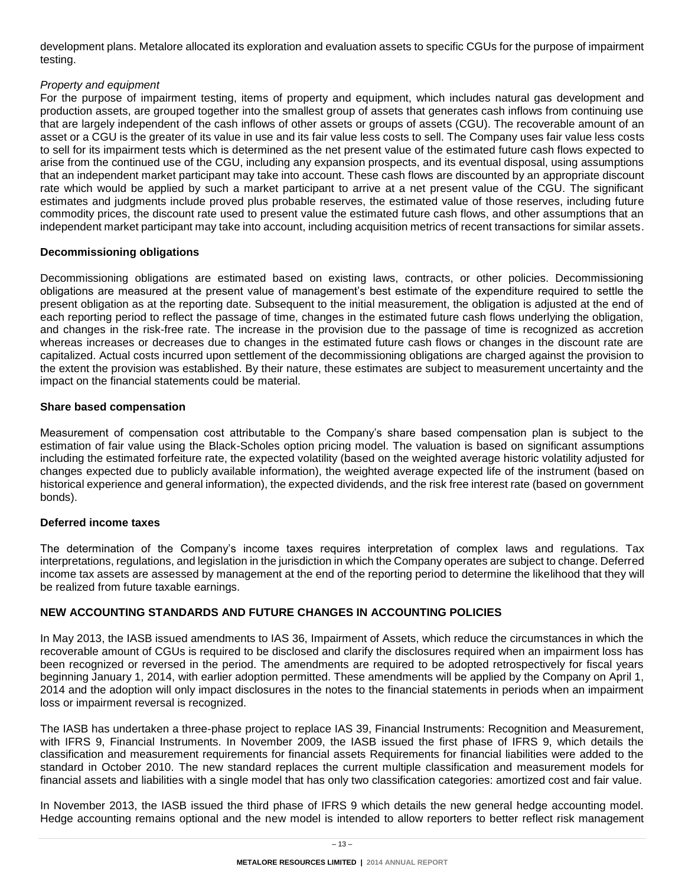development plans. Metalore allocated its exploration and evaluation assets to specific CGUs for the purpose of impairment testing.

# *Property and equipment*

For the purpose of impairment testing, items of property and equipment, which includes natural gas development and production assets, are grouped together into the smallest group of assets that generates cash inflows from continuing use that are largely independent of the cash inflows of other assets or groups of assets (CGU). The recoverable amount of an asset or a CGU is the greater of its value in use and its fair value less costs to sell. The Company uses fair value less costs to sell for its impairment tests which is determined as the net present value of the estimated future cash flows expected to arise from the continued use of the CGU, including any expansion prospects, and its eventual disposal, using assumptions that an independent market participant may take into account. These cash flows are discounted by an appropriate discount rate which would be applied by such a market participant to arrive at a net present value of the CGU. The significant estimates and judgments include proved plus probable reserves, the estimated value of those reserves, including future commodity prices, the discount rate used to present value the estimated future cash flows, and other assumptions that an independent market participant may take into account, including acquisition metrics of recent transactions for similar assets.

### **Decommissioning obligations**

Decommissioning obligations are estimated based on existing laws, contracts, or other policies. Decommissioning obligations are measured at the present value of management's best estimate of the expenditure required to settle the present obligation as at the reporting date. Subsequent to the initial measurement, the obligation is adjusted at the end of each reporting period to reflect the passage of time, changes in the estimated future cash flows underlying the obligation, and changes in the risk-free rate. The increase in the provision due to the passage of time is recognized as accretion whereas increases or decreases due to changes in the estimated future cash flows or changes in the discount rate are capitalized. Actual costs incurred upon settlement of the decommissioning obligations are charged against the provision to the extent the provision was established. By their nature, these estimates are subject to measurement uncertainty and the impact on the financial statements could be material.

#### **Share based compensation**

Measurement of compensation cost attributable to the Company's share based compensation plan is subject to the estimation of fair value using the Black-Scholes option pricing model. The valuation is based on significant assumptions including the estimated forfeiture rate, the expected volatility (based on the weighted average historic volatility adjusted for changes expected due to publicly available information), the weighted average expected life of the instrument (based on historical experience and general information), the expected dividends, and the risk free interest rate (based on government bonds).

#### **Deferred income taxes**

The determination of the Company's income taxes requires interpretation of complex laws and regulations. Tax interpretations, regulations, and legislation in the jurisdiction in which the Company operates are subject to change. Deferred income tax assets are assessed by management at the end of the reporting period to determine the likelihood that they will be realized from future taxable earnings.

# **NEW ACCOUNTING STANDARDS AND FUTURE CHANGES IN ACCOUNTING POLICIES**

In May 2013, the IASB issued amendments to IAS 36, Impairment of Assets, which reduce the circumstances in which the recoverable amount of CGUs is required to be disclosed and clarify the disclosures required when an impairment loss has been recognized or reversed in the period. The amendments are required to be adopted retrospectively for fiscal years beginning January 1, 2014, with earlier adoption permitted. These amendments will be applied by the Company on April 1, 2014 and the adoption will only impact disclosures in the notes to the financial statements in periods when an impairment loss or impairment reversal is recognized.

The IASB has undertaken a three-phase project to replace IAS 39, Financial Instruments: Recognition and Measurement, with IFRS 9, Financial Instruments. In November 2009, the IASB issued the first phase of IFRS 9, which details the classification and measurement requirements for financial assets Requirements for financial liabilities were added to the standard in October 2010. The new standard replaces the current multiple classification and measurement models for financial assets and liabilities with a single model that has only two classification categories: amortized cost and fair value.

In November 2013, the IASB issued the third phase of IFRS 9 which details the new general hedge accounting model. Hedge accounting remains optional and the new model is intended to allow reporters to better reflect risk management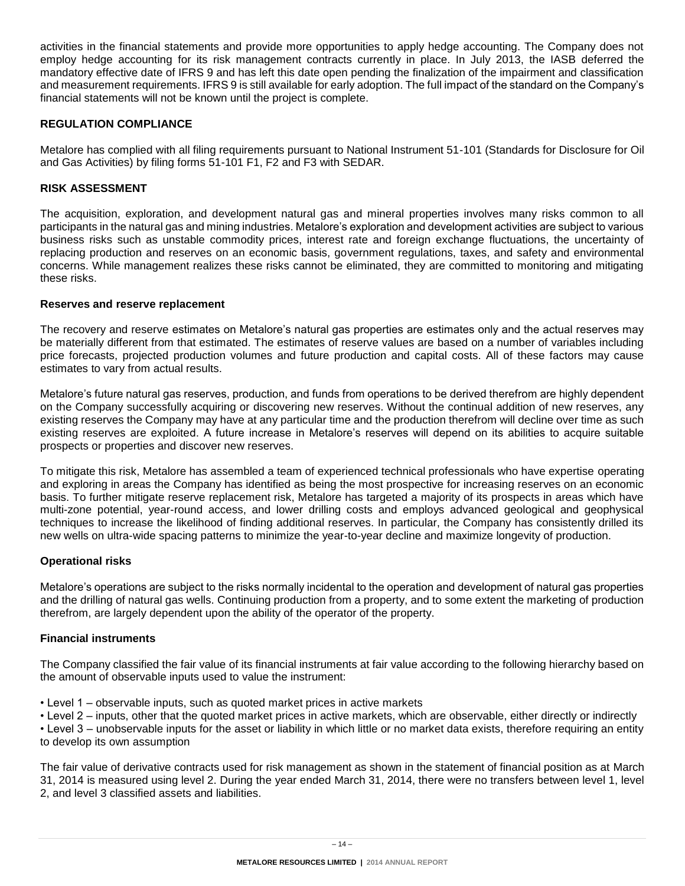activities in the financial statements and provide more opportunities to apply hedge accounting. The Company does not employ hedge accounting for its risk management contracts currently in place. In July 2013, the IASB deferred the mandatory effective date of IFRS 9 and has left this date open pending the finalization of the impairment and classification and measurement requirements. IFRS 9 is still available for early adoption. The full impact of the standard on the Company's financial statements will not be known until the project is complete.

# **REGULATION COMPLIANCE**

Metalore has complied with all filing requirements pursuant to National Instrument 51-101 (Standards for Disclosure for Oil and Gas Activities) by filing forms 51-101 F1, F2 and F3 with SEDAR.

#### **RISK ASSESSMENT**

The acquisition, exploration, and development natural gas and mineral properties involves many risks common to all participants in the natural gas and mining industries. Metalore's exploration and development activities are subject to various business risks such as unstable commodity prices, interest rate and foreign exchange fluctuations, the uncertainty of replacing production and reserves on an economic basis, government regulations, taxes, and safety and environmental concerns. While management realizes these risks cannot be eliminated, they are committed to monitoring and mitigating these risks.

#### **Reserves and reserve replacement**

The recovery and reserve estimates on Metalore's natural gas properties are estimates only and the actual reserves may be materially different from that estimated. The estimates of reserve values are based on a number of variables including price forecasts, projected production volumes and future production and capital costs. All of these factors may cause estimates to vary from actual results.

Metalore's future natural gas reserves, production, and funds from operations to be derived therefrom are highly dependent on the Company successfully acquiring or discovering new reserves. Without the continual addition of new reserves, any existing reserves the Company may have at any particular time and the production therefrom will decline over time as such existing reserves are exploited. A future increase in Metalore's reserves will depend on its abilities to acquire suitable prospects or properties and discover new reserves.

To mitigate this risk, Metalore has assembled a team of experienced technical professionals who have expertise operating and exploring in areas the Company has identified as being the most prospective for increasing reserves on an economic basis. To further mitigate reserve replacement risk, Metalore has targeted a majority of its prospects in areas which have multi-zone potential, year-round access, and lower drilling costs and employs advanced geological and geophysical techniques to increase the likelihood of finding additional reserves. In particular, the Company has consistently drilled its new wells on ultra-wide spacing patterns to minimize the year-to-year decline and maximize longevity of production.

#### **Operational risks**

Metalore's operations are subject to the risks normally incidental to the operation and development of natural gas properties and the drilling of natural gas wells. Continuing production from a property, and to some extent the marketing of production therefrom, are largely dependent upon the ability of the operator of the property.

#### **Financial instruments**

The Company classified the fair value of its financial instruments at fair value according to the following hierarchy based on the amount of observable inputs used to value the instrument:

• Level 1 – observable inputs, such as quoted market prices in active markets

• Level 2 – inputs, other that the quoted market prices in active markets, which are observable, either directly or indirectly

• Level 3 – unobservable inputs for the asset or liability in which little or no market data exists, therefore requiring an entity to develop its own assumption

The fair value of derivative contracts used for risk management as shown in the statement of financial position as at March 31, 2014 is measured using level 2. During the year ended March 31, 2014, there were no transfers between level 1, level 2, and level 3 classified assets and liabilities.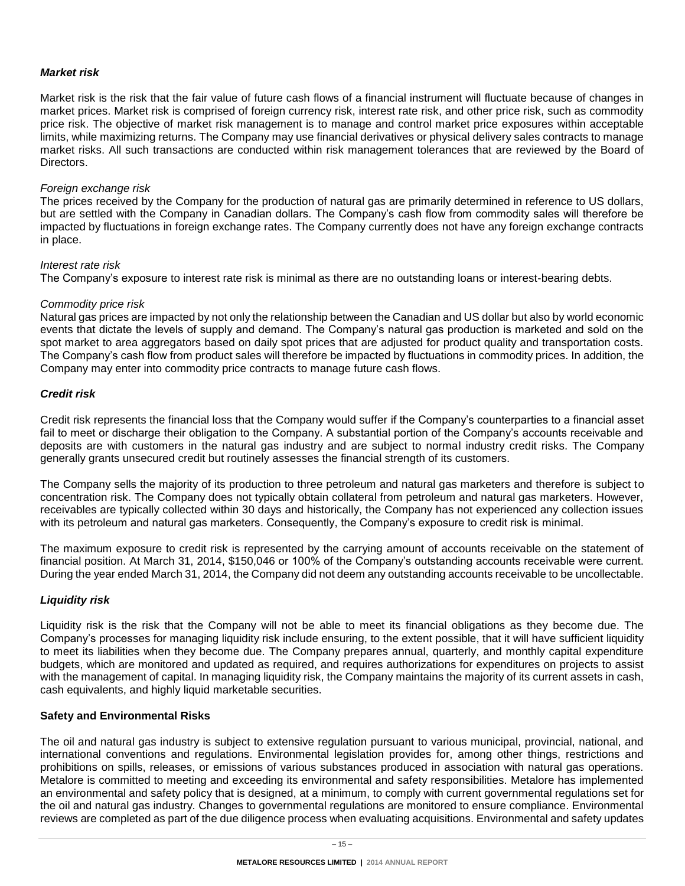#### *Market risk*

Market risk is the risk that the fair value of future cash flows of a financial instrument will fluctuate because of changes in market prices. Market risk is comprised of foreign currency risk, interest rate risk, and other price risk, such as commodity price risk. The objective of market risk management is to manage and control market price exposures within acceptable limits, while maximizing returns. The Company may use financial derivatives or physical delivery sales contracts to manage market risks. All such transactions are conducted within risk management tolerances that are reviewed by the Board of Directors.

#### *Foreign exchange risk*

The prices received by the Company for the production of natural gas are primarily determined in reference to US dollars, but are settled with the Company in Canadian dollars. The Company's cash flow from commodity sales will therefore be impacted by fluctuations in foreign exchange rates. The Company currently does not have any foreign exchange contracts in place.

#### *Interest rate risk*

The Company's exposure to interest rate risk is minimal as there are no outstanding loans or interest-bearing debts.

#### *Commodity price risk*

Natural gas prices are impacted by not only the relationship between the Canadian and US dollar but also by world economic events that dictate the levels of supply and demand. The Company's natural gas production is marketed and sold on the spot market to area aggregators based on daily spot prices that are adjusted for product quality and transportation costs. The Company's cash flow from product sales will therefore be impacted by fluctuations in commodity prices. In addition, the Company may enter into commodity price contracts to manage future cash flows.

#### *Credit risk*

Credit risk represents the financial loss that the Company would suffer if the Company's counterparties to a financial asset fail to meet or discharge their obligation to the Company. A substantial portion of the Company's accounts receivable and deposits are with customers in the natural gas industry and are subject to normal industry credit risks. The Company generally grants unsecured credit but routinely assesses the financial strength of its customers.

The Company sells the majority of its production to three petroleum and natural gas marketers and therefore is subject to concentration risk. The Company does not typically obtain collateral from petroleum and natural gas marketers. However, receivables are typically collected within 30 days and historically, the Company has not experienced any collection issues with its petroleum and natural gas marketers. Consequently, the Company's exposure to credit risk is minimal.

The maximum exposure to credit risk is represented by the carrying amount of accounts receivable on the statement of financial position. At March 31, 2014, \$150,046 or 100% of the Company's outstanding accounts receivable were current. During the year ended March 31, 2014, the Company did not deem any outstanding accounts receivable to be uncollectable.

#### *Liquidity risk*

Liquidity risk is the risk that the Company will not be able to meet its financial obligations as they become due. The Company's processes for managing liquidity risk include ensuring, to the extent possible, that it will have sufficient liquidity to meet its liabilities when they become due. The Company prepares annual, quarterly, and monthly capital expenditure budgets, which are monitored and updated as required, and requires authorizations for expenditures on projects to assist with the management of capital. In managing liquidity risk, the Company maintains the majority of its current assets in cash, cash equivalents, and highly liquid marketable securities.

#### **Safety and Environmental Risks**

The oil and natural gas industry is subject to extensive regulation pursuant to various municipal, provincial, national, and international conventions and regulations. Environmental legislation provides for, among other things, restrictions and prohibitions on spills, releases, or emissions of various substances produced in association with natural gas operations. Metalore is committed to meeting and exceeding its environmental and safety responsibilities. Metalore has implemented an environmental and safety policy that is designed, at a minimum, to comply with current governmental regulations set for the oil and natural gas industry. Changes to governmental regulations are monitored to ensure compliance. Environmental reviews are completed as part of the due diligence process when evaluating acquisitions. Environmental and safety updates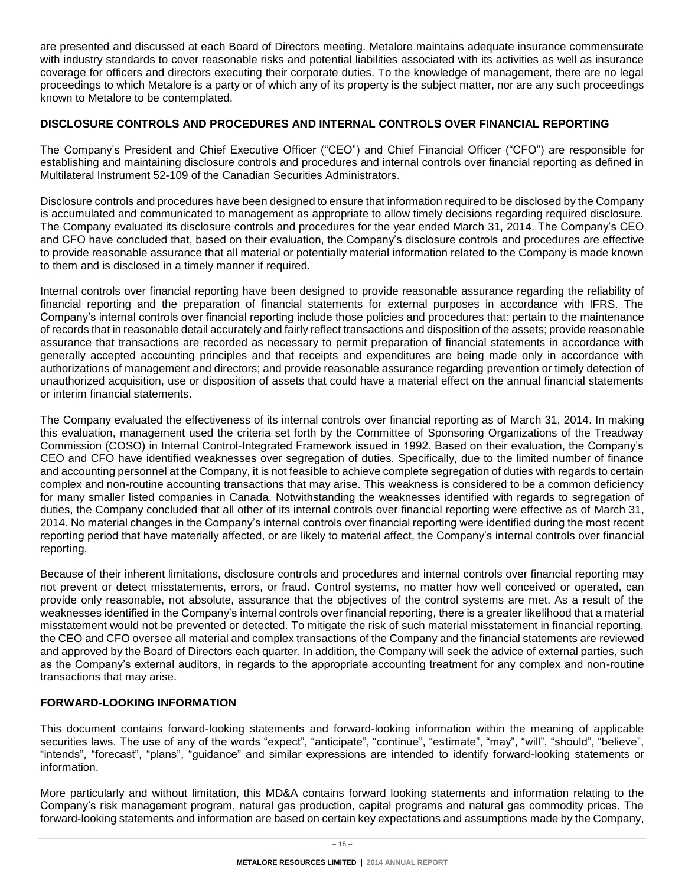are presented and discussed at each Board of Directors meeting. Metalore maintains adequate insurance commensurate with industry standards to cover reasonable risks and potential liabilities associated with its activities as well as insurance coverage for officers and directors executing their corporate duties. To the knowledge of management, there are no legal proceedings to which Metalore is a party or of which any of its property is the subject matter, nor are any such proceedings known to Metalore to be contemplated.

# **DISCLOSURE CONTROLS AND PROCEDURES AND INTERNAL CONTROLS OVER FINANCIAL REPORTING**

The Company's President and Chief Executive Officer ("CEO") and Chief Financial Officer ("CFO") are responsible for establishing and maintaining disclosure controls and procedures and internal controls over financial reporting as defined in Multilateral Instrument 52-109 of the Canadian Securities Administrators.

Disclosure controls and procedures have been designed to ensure that information required to be disclosed by the Company is accumulated and communicated to management as appropriate to allow timely decisions regarding required disclosure. The Company evaluated its disclosure controls and procedures for the year ended March 31, 2014. The Company's CEO and CFO have concluded that, based on their evaluation, the Company's disclosure controls and procedures are effective to provide reasonable assurance that all material or potentially material information related to the Company is made known to them and is disclosed in a timely manner if required.

Internal controls over financial reporting have been designed to provide reasonable assurance regarding the reliability of financial reporting and the preparation of financial statements for external purposes in accordance with IFRS. The Company's internal controls over financial reporting include those policies and procedures that: pertain to the maintenance of records that in reasonable detail accurately and fairly reflect transactions and disposition of the assets; provide reasonable assurance that transactions are recorded as necessary to permit preparation of financial statements in accordance with generally accepted accounting principles and that receipts and expenditures are being made only in accordance with authorizations of management and directors; and provide reasonable assurance regarding prevention or timely detection of unauthorized acquisition, use or disposition of assets that could have a material effect on the annual financial statements or interim financial statements.

The Company evaluated the effectiveness of its internal controls over financial reporting as of March 31, 2014. In making this evaluation, management used the criteria set forth by the Committee of Sponsoring Organizations of the Treadway Commission (COSO) in Internal Control-Integrated Framework issued in 1992. Based on their evaluation, the Company's CEO and CFO have identified weaknesses over segregation of duties. Specifically, due to the limited number of finance and accounting personnel at the Company, it is not feasible to achieve complete segregation of duties with regards to certain complex and non-routine accounting transactions that may arise. This weakness is considered to be a common deficiency for many smaller listed companies in Canada. Notwithstanding the weaknesses identified with regards to segregation of duties, the Company concluded that all other of its internal controls over financial reporting were effective as of March 31, 2014. No material changes in the Company's internal controls over financial reporting were identified during the most recent reporting period that have materially affected, or are likely to material affect, the Company's internal controls over financial reporting.

Because of their inherent limitations, disclosure controls and procedures and internal controls over financial reporting may not prevent or detect misstatements, errors, or fraud. Control systems, no matter how well conceived or operated, can provide only reasonable, not absolute, assurance that the objectives of the control systems are met. As a result of the weaknesses identified in the Company's internal controls over financial reporting, there is a greater likelihood that a material misstatement would not be prevented or detected. To mitigate the risk of such material misstatement in financial reporting, the CEO and CFO oversee all material and complex transactions of the Company and the financial statements are reviewed and approved by the Board of Directors each quarter. In addition, the Company will seek the advice of external parties, such as the Company's external auditors, in regards to the appropriate accounting treatment for any complex and non-routine transactions that may arise.

# **FORWARD-LOOKING INFORMATION**

This document contains forward-looking statements and forward-looking information within the meaning of applicable securities laws. The use of any of the words "expect", "anticipate", "continue", "estimate", "may", "will", "should", "believe", "intends", "forecast", "plans", "guidance" and similar expressions are intended to identify forward-looking statements or information.

More particularly and without limitation, this MD&A contains forward looking statements and information relating to the Company's risk management program, natural gas production, capital programs and natural gas commodity prices. The forward-looking statements and information are based on certain key expectations and assumptions made by the Company,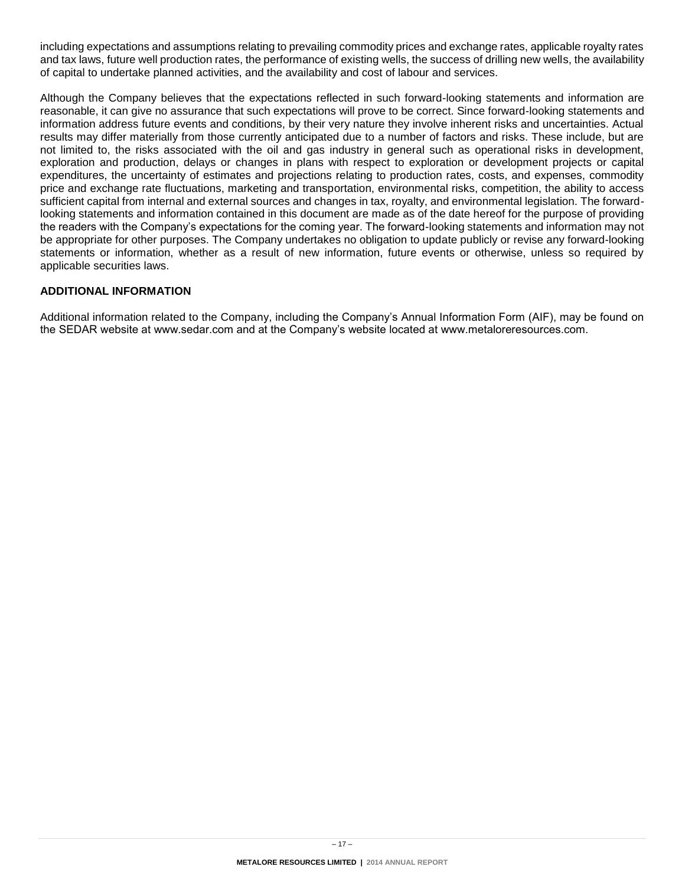including expectations and assumptions relating to prevailing commodity prices and exchange rates, applicable royalty rates and tax laws, future well production rates, the performance of existing wells, the success of drilling new wells, the availability of capital to undertake planned activities, and the availability and cost of labour and services.

Although the Company believes that the expectations reflected in such forward-looking statements and information are reasonable, it can give no assurance that such expectations will prove to be correct. Since forward-looking statements and information address future events and conditions, by their very nature they involve inherent risks and uncertainties. Actual results may differ materially from those currently anticipated due to a number of factors and risks. These include, but are not limited to, the risks associated with the oil and gas industry in general such as operational risks in development, exploration and production, delays or changes in plans with respect to exploration or development projects or capital expenditures, the uncertainty of estimates and projections relating to production rates, costs, and expenses, commodity price and exchange rate fluctuations, marketing and transportation, environmental risks, competition, the ability to access sufficient capital from internal and external sources and changes in tax, royalty, and environmental legislation. The forwardlooking statements and information contained in this document are made as of the date hereof for the purpose of providing the readers with the Company's expectations for the coming year. The forward-looking statements and information may not be appropriate for other purposes. The Company undertakes no obligation to update publicly or revise any forward-looking statements or information, whether as a result of new information, future events or otherwise, unless so required by applicable securities laws.

### **ADDITIONAL INFORMATION**

Additional information related to the Company, including the Company's Annual Information Form (AIF), may be found on the SEDAR website at www.sedar.com and at the Company's website located at www.metaloreresources.com.